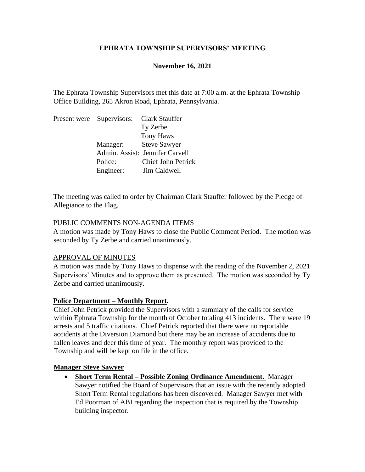### **EPHRATA TOWNSHIP SUPERVISORS' MEETING**

### **November 16, 2021**

The Ephrata Township Supervisors met this date at 7:00 a.m. at the Ephrata Township Office Building, 265 Akron Road, Ephrata, Pennsylvania.

| Present were Supervisors: Clark Stauffer |                                 |
|------------------------------------------|---------------------------------|
|                                          | Ty Zerbe                        |
|                                          | <b>Tony Haws</b>                |
| Manager:                                 | <b>Steve Sawyer</b>             |
|                                          | Admin. Assist: Jennifer Carvell |
| Police:                                  | Chief John Petrick              |
| Engineer:                                | Jim Caldwell                    |

The meeting was called to order by Chairman Clark Stauffer followed by the Pledge of Allegiance to the Flag.

#### PUBLIC COMMENTS NON-AGENDA ITEMS

A motion was made by Tony Haws to close the Public Comment Period. The motion was seconded by Ty Zerbe and carried unanimously.

### APPROVAL OF MINUTES

A motion was made by Tony Haws to dispense with the reading of the November 2, 2021 Supervisors' Minutes and to approve them as presented. The motion was seconded by Ty Zerbe and carried unanimously.

### **Police Department – Monthly Report.**

Chief John Petrick provided the Supervisors with a summary of the calls for service within Ephrata Township for the month of October totaling 413 incidents. There were 19 arrests and 5 traffic citations. Chief Petrick reported that there were no reportable accidents at the Diversion Diamond but there may be an increase of accidents due to fallen leaves and deer this time of year. The monthly report was provided to the Township and will be kept on file in the office.

#### **Manager Steve Sawyer**

• **Short Term Rental – Possible Zoning Ordinance Amendment.** Manager Sawyer notified the Board of Supervisors that an issue with the recently adopted Short Term Rental regulations has been discovered. Manager Sawyer met with Ed Poorman of ABI regarding the inspection that is required by the Township building inspector.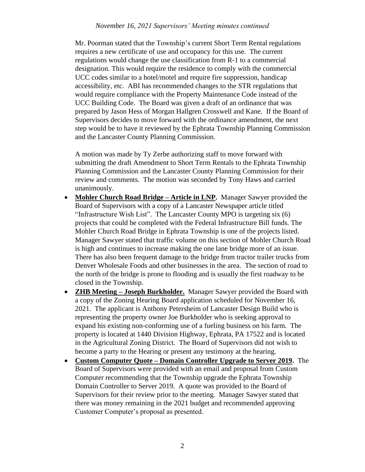### *November 16, 2021 Supervisors' Meeting minutes continued*

Mr. Poorman stated that the Township's current Short Term Rental regulations requires a new certificate of use and occupancy for this use. The current regulations would change the use classification from R-1 to a commercial designation. This would require the residence to comply with the commercial UCC codes similar to a hotel/motel and require fire suppression, handicap accessibility, etc. ABI has recommended changes to the STR regulations that would require compliance with the Property Maintenance Code instead of the UCC Building Code. The Board was given a draft of an ordinance that was prepared by Jason Hess of Morgan Hallgren Crosswell and Kane. If the Board of Supervisors decides to move forward with the ordinance amendment, the next step would be to have it reviewed by the Ephrata Township Planning Commission and the Lancaster County Planning Commission.

A motion was made by Ty Zerbe authorizing staff to move forward with submitting the draft Amendment to Short Term Rentals to the Ephrata Township Planning Commission and the Lancaster County Planning Commission for their review and comments. The motion was seconded by Tony Haws and carried unanimously.

- **Mohler Church Road Bridge – Article in LNP.** Manager Sawyer provided the Board of Supervisors with a copy of a Lancaster Newspaper article titled "Infrastructure Wish List". The Lancaster County MPO is targeting six (6) projects that could be completed with the Federal Infrastructure Bill funds. The Mohler Church Road Bridge in Ephrata Township is one of the projects listed. Manager Sawyer stated that traffic volume on this section of Mohler Church Road is high and continues to increase making the one lane bridge more of an issue. There has also been frequent damage to the bridge from tractor trailer trucks from Denver Wholesale Foods and other businesses in the area. The section of road to the north of the bridge is prone to flooding and is usually the first roadway to be closed in the Township.
- **ZHB Meeting – Joseph Burkholder.** Manager Sawyer provided the Board with a copy of the Zoning Hearing Board application scheduled for November 16, 2021. The applicant is Anthony Petersheim of Lancaster Design Build who is representing the property owner Joe Burkholder who is seeking approval to expand his existing non-conforming use of a fueling business on his farm. The property is located at 1440 Division Highway, Ephrata, PA 17522 and is located in the Agricultural Zoning District. The Board of Supervisors did not wish to become a party to the Hearing or present any testimony at the hearing.
- **Custom Computer Quote – Domain Controller Upgrade to Server 2019.** The Board of Supervisors were provided with an email and proposal from Custom Computer recommending that the Township upgrade the Ephrata Township Domain Controller to Server 2019. A quote was provided to the Board of Supervisors for their review prior to the meeting. Manager Sawyer stated that there was money remaining in the 2021 budget and recommended approving Customer Computer's proposal as presented.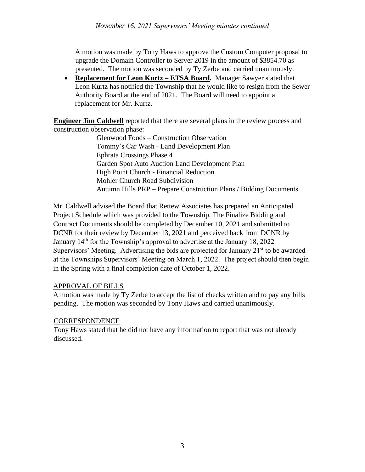A motion was made by Tony Haws to approve the Custom Computer proposal to upgrade the Domain Controller to Server 2019 in the amount of \$3854.70 as presented. The motion was seconded by Ty Zerbe and carried unanimously.

• **Replacement for Leon Kurtz – ETSA Board.** Manager Sawyer stated that Leon Kurtz has notified the Township that he would like to resign from the Sewer Authority Board at the end of 2021. The Board will need to appoint a replacement for Mr. Kurtz.

**Engineer Jim Caldwell** reported that there are several plans in the review process and construction observation phase:

> Glenwood Foods – Construction Observation Tommy's Car Wash - Land Development Plan Ephrata Crossings Phase 4 Garden Spot Auto Auction Land Development Plan High Point Church - Financial Reduction Mohler Church Road Subdivision Autumn Hills PRP – Prepare Construction Plans / Bidding Documents

Mr. Caldwell advised the Board that Rettew Associates has prepared an Anticipated Project Schedule which was provided to the Township. The Finalize Bidding and Contract Documents should be completed by December 10, 2021 and submitted to DCNR for their review by December 13, 2021 and perceived back from DCNR by January 14<sup>th</sup> for the Township's approval to advertise at the January 18, 2022 Supervisors' Meeting. Advertising the bids are projected for January  $21<sup>st</sup>$  to be awarded at the Townships Supervisors' Meeting on March 1, 2022. The project should then begin in the Spring with a final completion date of October 1, 2022.

# APPROVAL OF BILLS

A motion was made by Ty Zerbe to accept the list of checks written and to pay any bills pending. The motion was seconded by Tony Haws and carried unanimously.

# **CORRESPONDENCE**

Tony Haws stated that he did not have any information to report that was not already discussed.